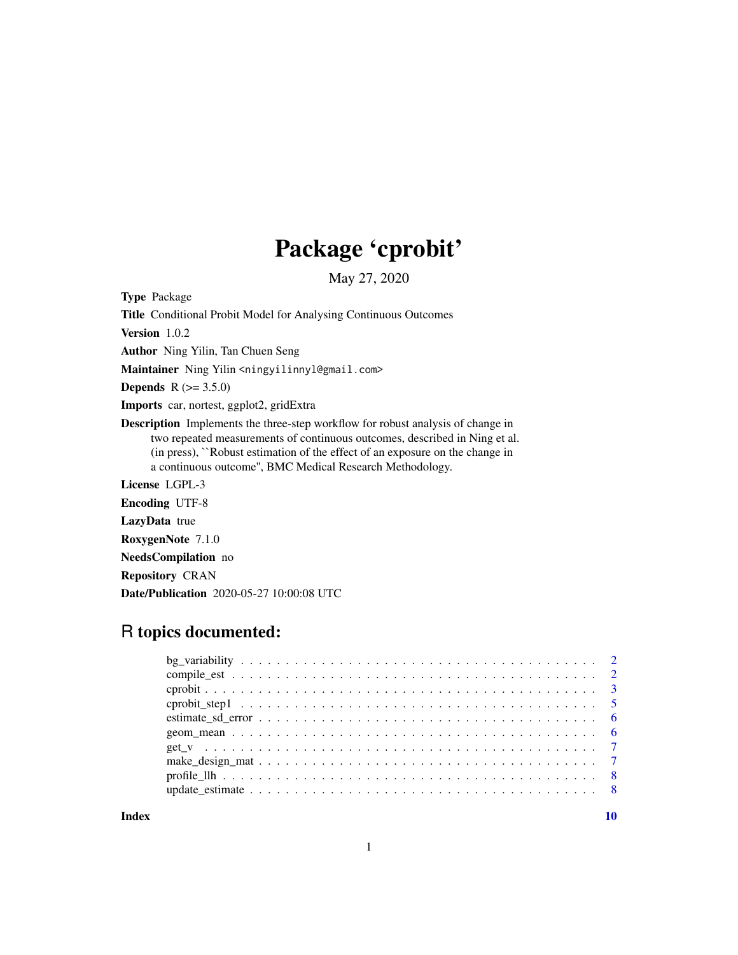## Package 'cprobit'

May 27, 2020

Type Package

Title Conditional Probit Model for Analysing Continuous Outcomes

Version 1.0.2

Author Ning Yilin, Tan Chuen Seng

Maintainer Ning Yilin <ningyilinnyl@gmail.com>

**Depends**  $R$  ( $> = 3.5.0$ )

Imports car, nortest, ggplot2, gridExtra

Description Implements the three-step workflow for robust analysis of change in two repeated measurements of continuous outcomes, described in Ning et al. (in press), ``Robust estimation of the effect of an exposure on the change in a continuous outcome'', BMC Medical Research Methodology.

License LGPL-3 Encoding UTF-8 LazyData true

RoxygenNote 7.1.0

NeedsCompilation no

Repository CRAN

Date/Publication 2020-05-27 10:00:08 UTC

### R topics documented:

 $\blacksquare$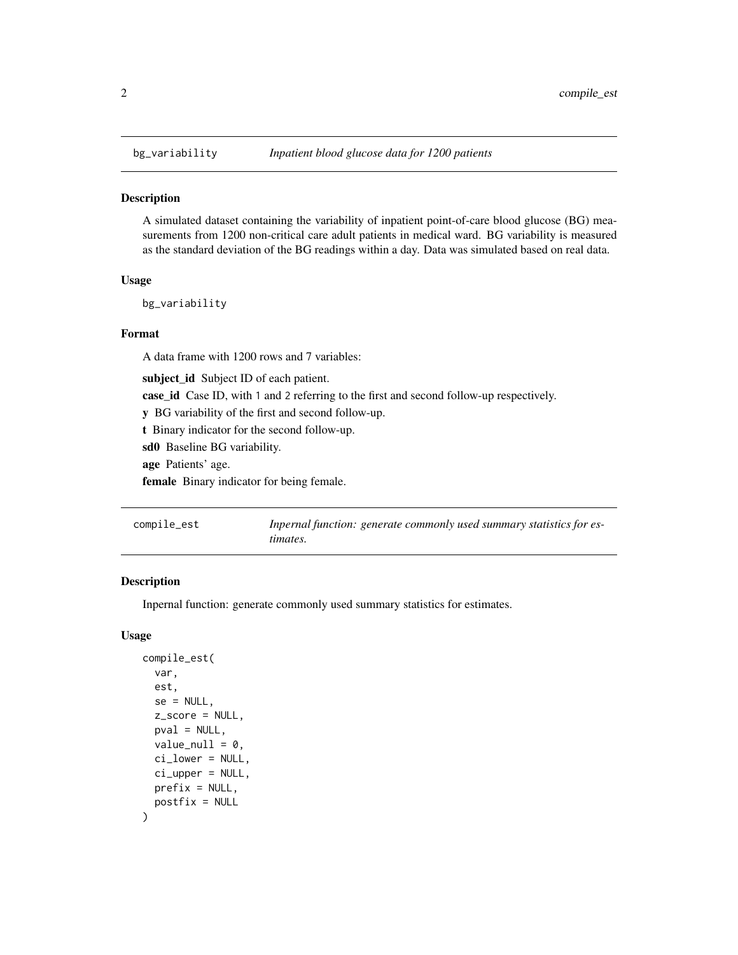<span id="page-1-0"></span>

#### Description

A simulated dataset containing the variability of inpatient point-of-care blood glucose (BG) measurements from 1200 non-critical care adult patients in medical ward. BG variability is measured as the standard deviation of the BG readings within a day. Data was simulated based on real data.

#### Usage

bg\_variability

#### Format

A data frame with 1200 rows and 7 variables:

subject\_id Subject ID of each patient.

case\_id Case ID, with 1 and 2 referring to the first and second follow-up respectively.

y BG variability of the first and second follow-up.

t Binary indicator for the second follow-up.

sd0 Baseline BG variability.

age Patients' age.

female Binary indicator for being female.

| compile_est | Inpernal function: generate commonly used summary statistics for es- |
|-------------|----------------------------------------------------------------------|
|             | timates.                                                             |

#### Description

Inpernal function: generate commonly used summary statistics for estimates.

#### Usage

```
compile_est(
  var,
  est,
  se = NULL,z_score = NULL,
  pval = NULL,
  value\_null = 0,
  ci_lower = NULL,
  ci\_upper = NULL,prefix = NULL,postfix = NULL
)
```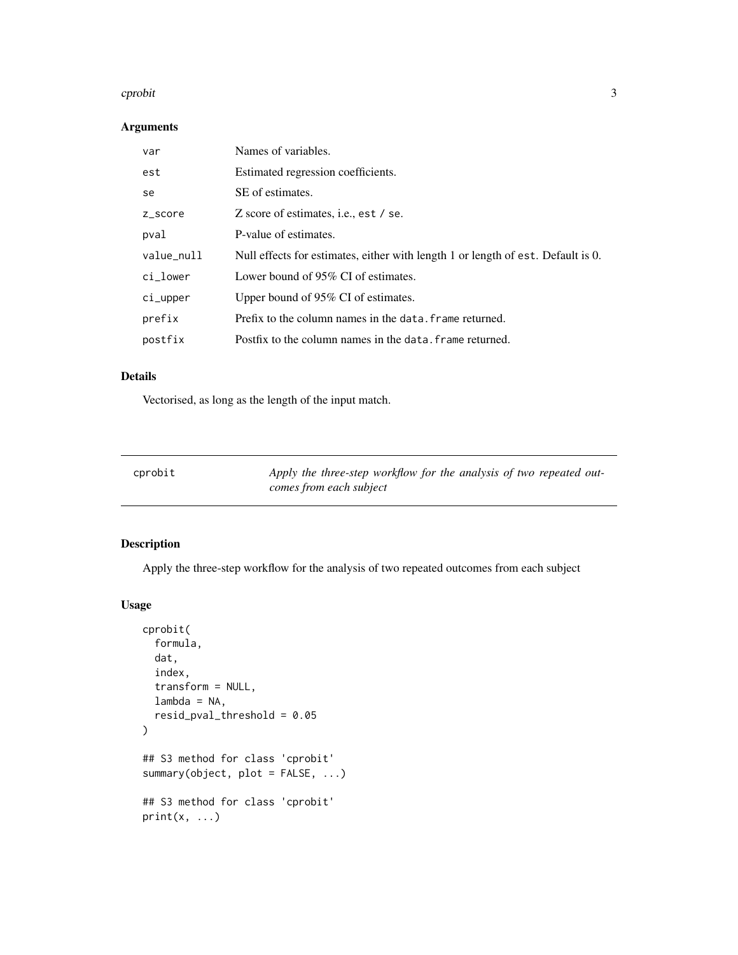#### <span id="page-2-0"></span>cprobit 3

#### Arguments

| var        | Names of variables.                                                              |
|------------|----------------------------------------------------------------------------------|
| est        | Estimated regression coefficients.                                               |
| se         | SE of estimates.                                                                 |
| z_score    | Z score of estimates, i.e., est / se.                                            |
| pval       | P-value of estimates.                                                            |
| value_null | Null effects for estimates, either with length 1 or length of est. Default is 0. |
| $ci_lower$ | Lower bound of 95% CI of estimates.                                              |
| ci_upper   | Upper bound of 95% CI of estimates.                                              |
| prefix     | Prefix to the column names in the data. frame returned.                          |
| postfix    | Postfix to the column names in the data. frame returned.                         |

#### Details

Vectorised, as long as the length of the input match.

| cprobi |  |
|--------|--|
|--------|--|

Apply the three-step workflow for the analysis of two repeated out*comes from each subject*

#### Description

Apply the three-step workflow for the analysis of two repeated outcomes from each subject

#### Usage

```
cprobit(
  formula,
  dat,
  index,
  transform = NULL,
  lambda = NA,
  resid_pval_threshold = 0.05
)
## S3 method for class 'cprobit'
summary(object, plot = FALSE, ...)
## S3 method for class 'cprobit'
print(x, \ldots)
```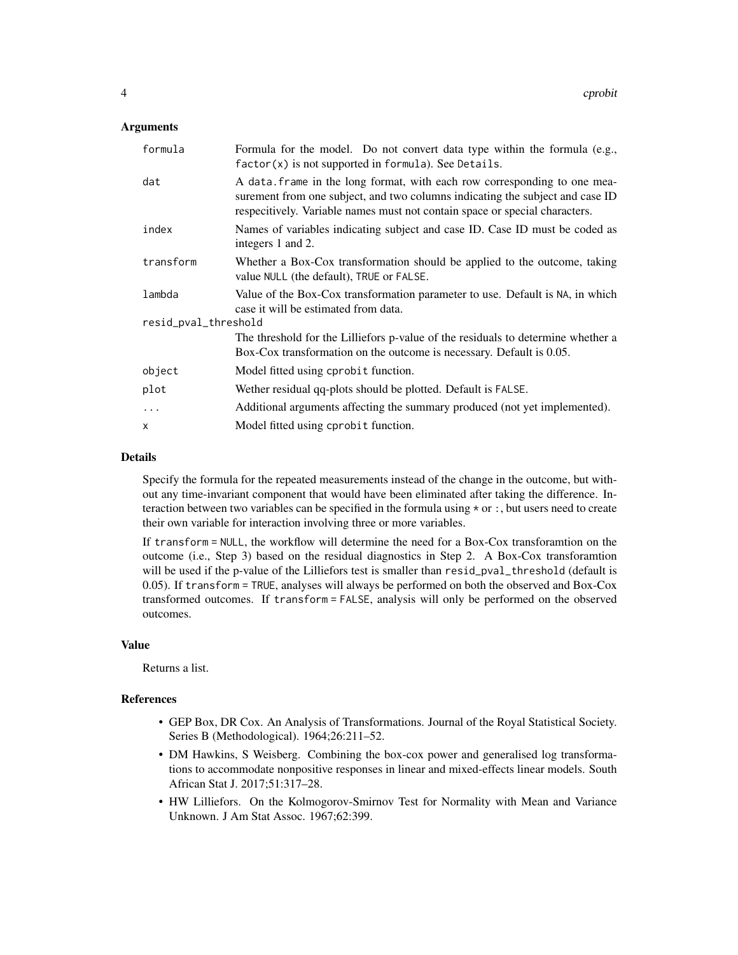#### Arguments

| formula              | Formula for the model. Do not convert data type within the formula (e.g.,<br>$factor(x)$ is not supported in formula). See Details.                                                                                                      |
|----------------------|------------------------------------------------------------------------------------------------------------------------------------------------------------------------------------------------------------------------------------------|
| dat                  | A data frame in the long format, with each row corresponding to one mea-<br>surement from one subject, and two columns indicating the subject and case ID<br>respecitively. Variable names must not contain space or special characters. |
| index                | Names of variables indicating subject and case ID. Case ID must be coded as<br>integers 1 and 2.                                                                                                                                         |
| transform            | Whether a Box-Cox transformation should be applied to the outcome, taking<br>value NULL (the default), TRUE or FALSE.                                                                                                                    |
| lambda               | Value of the Box-Cox transformation parameter to use. Default is NA, in which<br>case it will be estimated from data.                                                                                                                    |
| resid_pval_threshold |                                                                                                                                                                                                                                          |
|                      | The threshold for the Lilliefors p-value of the residuals to determine whether a<br>Box-Cox transformation on the outcome is necessary. Default is 0.05.                                                                                 |
| object               | Model fitted using cprobit function.                                                                                                                                                                                                     |
| plot                 | Wether residual qq-plots should be plotted. Default is FALSE.                                                                                                                                                                            |
| $\ddots$ .           | Additional arguments affecting the summary produced (not yet implemented).                                                                                                                                                               |
| $\times$             | Model fitted using cprobit function.                                                                                                                                                                                                     |

#### Details

Specify the formula for the repeated measurements instead of the change in the outcome, but without any time-invariant component that would have been eliminated after taking the difference. Interaction between two variables can be specified in the formula using \* or :, but users need to create their own variable for interaction involving three or more variables.

If transform = NULL, the workflow will determine the need for a Box-Cox transforamtion on the outcome (i.e., Step 3) based on the residual diagnostics in Step 2. A Box-Cox transforamtion will be used if the p-value of the Lilliefors test is smaller than resid\_pval\_threshold (default is 0.05). If transform = TRUE, analyses will always be performed on both the observed and Box-Cox transformed outcomes. If transform = FALSE, analysis will only be performed on the observed outcomes.

#### Value

Returns a list.

#### References

- GEP Box, DR Cox. An Analysis of Transformations. Journal of the Royal Statistical Society. Series B (Methodological). 1964;26:211–52.
- DM Hawkins, S Weisberg. Combining the box-cox power and generalised log transformations to accommodate nonpositive responses in linear and mixed-effects linear models. South African Stat J. 2017;51:317–28.
- HW Lilliefors. On the Kolmogorov-Smirnov Test for Normality with Mean and Variance Unknown. J Am Stat Assoc. 1967;62:399.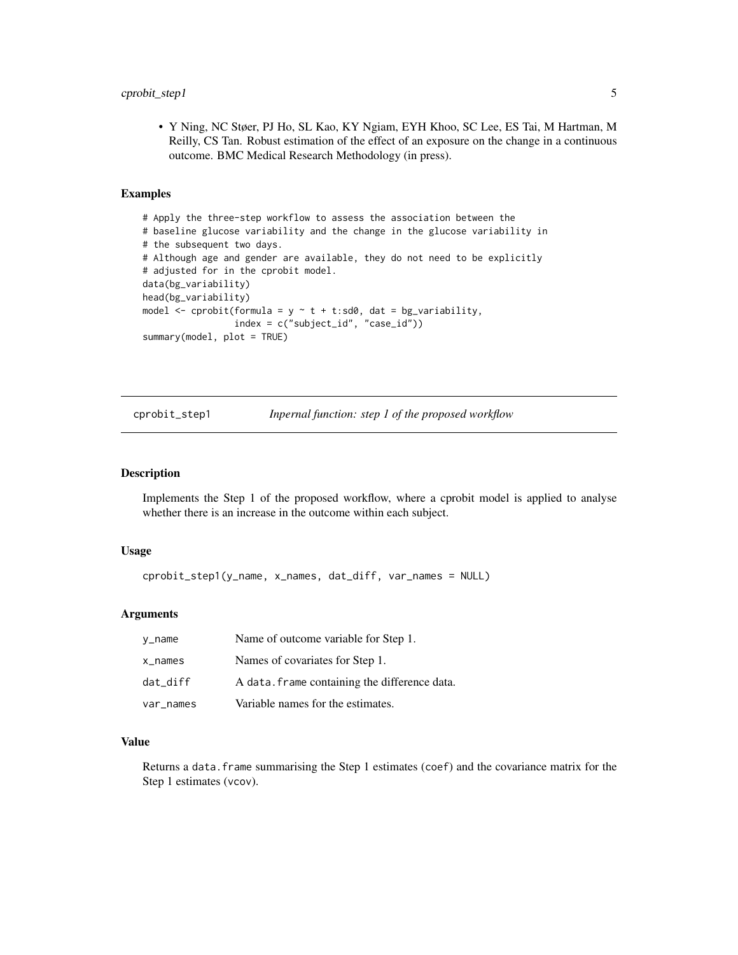<span id="page-4-0"></span>• Y Ning, NC Støer, PJ Ho, SL Kao, KY Ngiam, EYH Khoo, SC Lee, ES Tai, M Hartman, M Reilly, CS Tan. Robust estimation of the effect of an exposure on the change in a continuous outcome. BMC Medical Research Methodology (in press).

#### Examples

```
# Apply the three-step workflow to assess the association between the
# baseline glucose variability and the change in the glucose variability in
# the subsequent two days.
# Although age and gender are available, they do not need to be explicitly
# adjusted for in the cprobit model.
data(bg_variability)
head(bg_variability)
model \leq cprobit(formula = y \sim t + t:sd0, dat = bg_variability,
                 index = c("subject_id", "case_id"))
summary(model, plot = TRUE)
```
cprobit\_step1 *Inpernal function: step 1 of the proposed workflow*

#### **Description**

Implements the Step 1 of the proposed workflow, where a cprobit model is applied to analyse whether there is an increase in the outcome within each subject.

#### Usage

```
cprobit_step1(y_name, x_names, dat_diff, var_names = NULL)
```
#### Arguments

| y_name     | Name of outcome variable for Step 1.          |
|------------|-----------------------------------------------|
| $x$ _names | Names of covariates for Step 1.               |
| dat diff   | A data. frame containing the difference data. |
| var_names  | Variable names for the estimates.             |

#### Value

Returns a data.frame summarising the Step 1 estimates (coef) and the covariance matrix for the Step 1 estimates (vcov).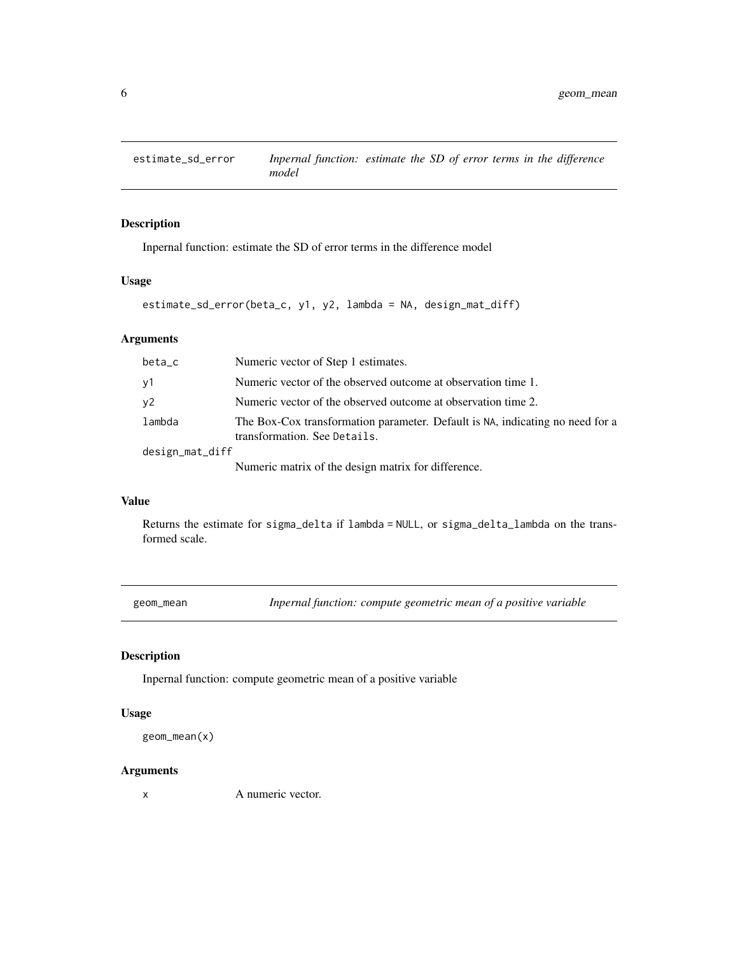<span id="page-5-0"></span>

#### Description

Inpernal function: estimate the SD of error terms in the difference model

#### Usage

```
estimate_sd_error(beta_c, y1, y2, lambda = NA, design_mat_diff)
```
#### Arguments

| beta_c          | Numeric vector of Step 1 estimates.                                                                           |
|-----------------|---------------------------------------------------------------------------------------------------------------|
| y1              | Numeric vector of the observed outcome at observation time 1.                                                 |
| y2              | Numeric vector of the observed outcome at observation time 2.                                                 |
| lambda          | The Box-Cox transformation parameter. Default is NA, indicating no need for a<br>transformation. See Details. |
| design_mat_diff |                                                                                                               |
|                 | Numeric matrix of the design matrix for difference.                                                           |

#### Value

Returns the estimate for sigma\_delta if lambda = NULL, or sigma\_delta\_lambda on the transformed scale.

geom\_mean *Inpernal function: compute geometric mean of a positive variable*

#### Description

Inpernal function: compute geometric mean of a positive variable

#### Usage

```
geom_mean(x)
```
#### Arguments

x A numeric vector.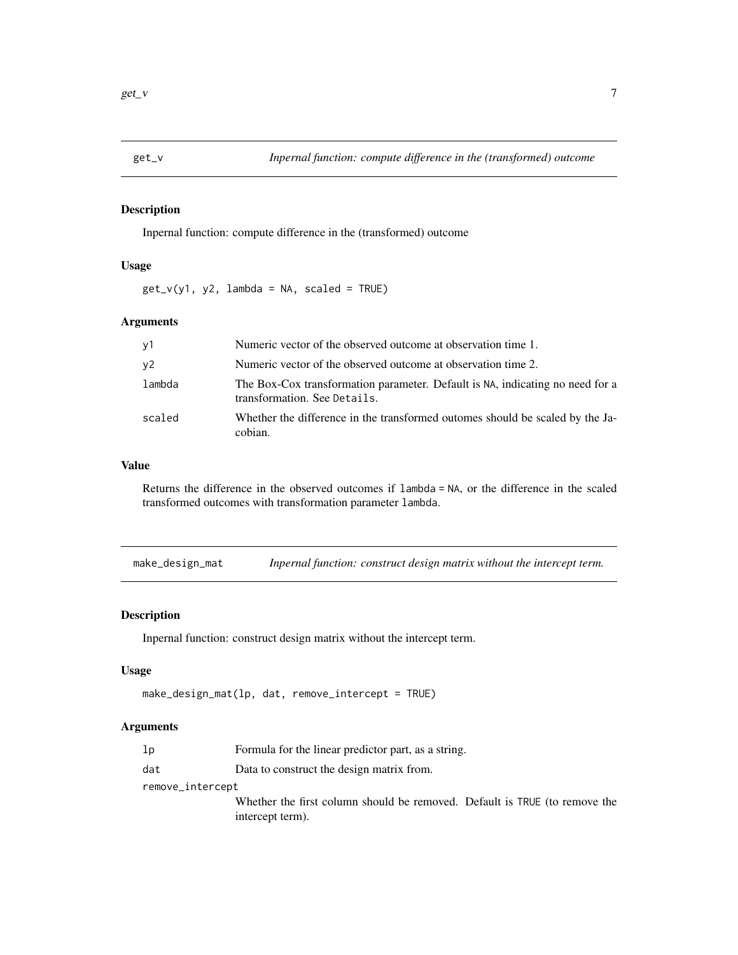<span id="page-6-0"></span>

#### Description

Inpernal function: compute difference in the (transformed) outcome

#### Usage

 $get_v(y1, y2, lambda = NA, scaled = TRUE)$ 

#### Arguments

| y1     | Numeric vector of the observed outcome at observation time 1.                                                 |
|--------|---------------------------------------------------------------------------------------------------------------|
| y2     | Numeric vector of the observed outcome at observation time 2.                                                 |
| lambda | The Box-Cox transformation parameter. Default is NA, indicating no need for a<br>transformation. See Details. |
| scaled | Whether the difference in the transformed outomes should be scaled by the Ja-<br>cobian.                      |

#### Value

Returns the difference in the observed outcomes if lambda = NA, or the difference in the scaled transformed outcomes with transformation parameter lambda.

make\_design\_mat *Inpernal function: construct design matrix without the intercept term.*

#### Description

Inpernal function: construct design matrix without the intercept term.

#### Usage

```
make_design_mat(lp, dat, remove_intercept = TRUE)
```
#### Arguments

| lp               | Formula for the linear predictor part, as a string.                        |  |
|------------------|----------------------------------------------------------------------------|--|
| dat              | Data to construct the design matrix from.                                  |  |
| remove_intercept |                                                                            |  |
|                  | Whether the first column should be removed. Default is TRUE (to remove the |  |
|                  | intercept term).                                                           |  |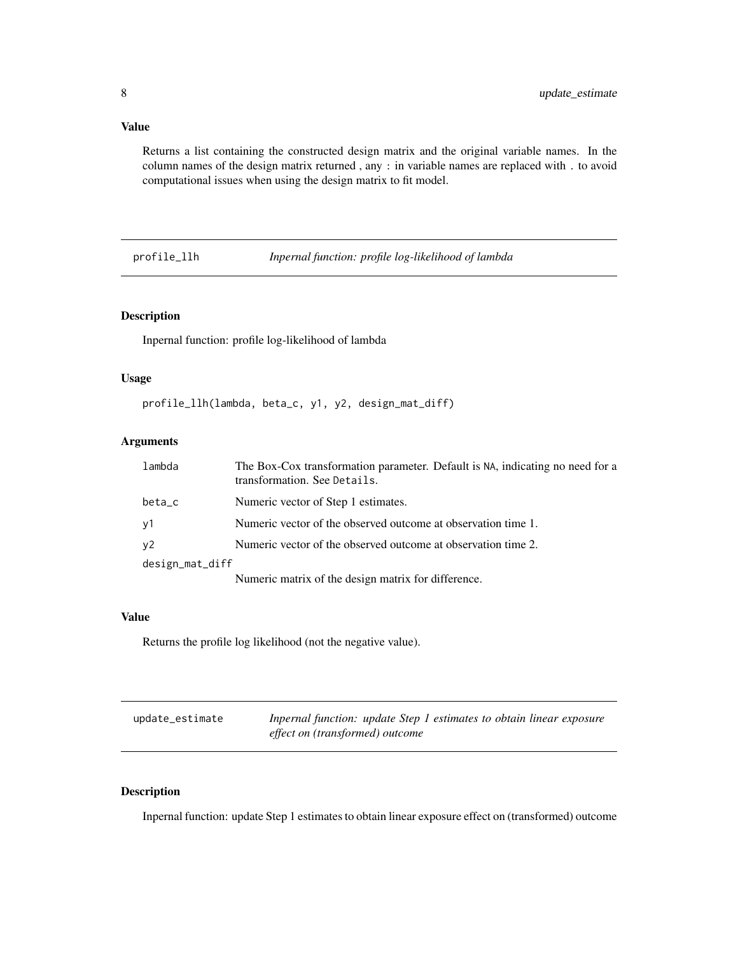#### <span id="page-7-0"></span>Value

Returns a list containing the constructed design matrix and the original variable names. In the column names of the design matrix returned , any : in variable names are replaced with . to avoid computational issues when using the design matrix to fit model.

profile\_llh *Inpernal function: profile log-likelihood of lambda*

#### Description

Inpernal function: profile log-likelihood of lambda

#### Usage

profile\_llh(lambda, beta\_c, y1, y2, design\_mat\_diff)

#### Arguments

| lambda          | The Box-Cox transformation parameter. Default is NA, indicating no need for a<br>transformation. See Details. |
|-----------------|---------------------------------------------------------------------------------------------------------------|
| beta_c          | Numeric vector of Step 1 estimates.                                                                           |
| y1              | Numeric vector of the observed outcome at observation time 1.                                                 |
| y2              | Numeric vector of the observed outcome at observation time 2.                                                 |
| design_mat_diff |                                                                                                               |
|                 | Numeric matrix of the design matrix for difference.                                                           |

#### Value

Returns the profile log likelihood (not the negative value).

| update_estimate | Inpernal function: update Step 1 estimates to obtain linear exposure |
|-----------------|----------------------------------------------------------------------|
|                 | effect on (transformed) outcome                                      |

#### Description

Inpernal function: update Step 1 estimates to obtain linear exposure effect on (transformed) outcome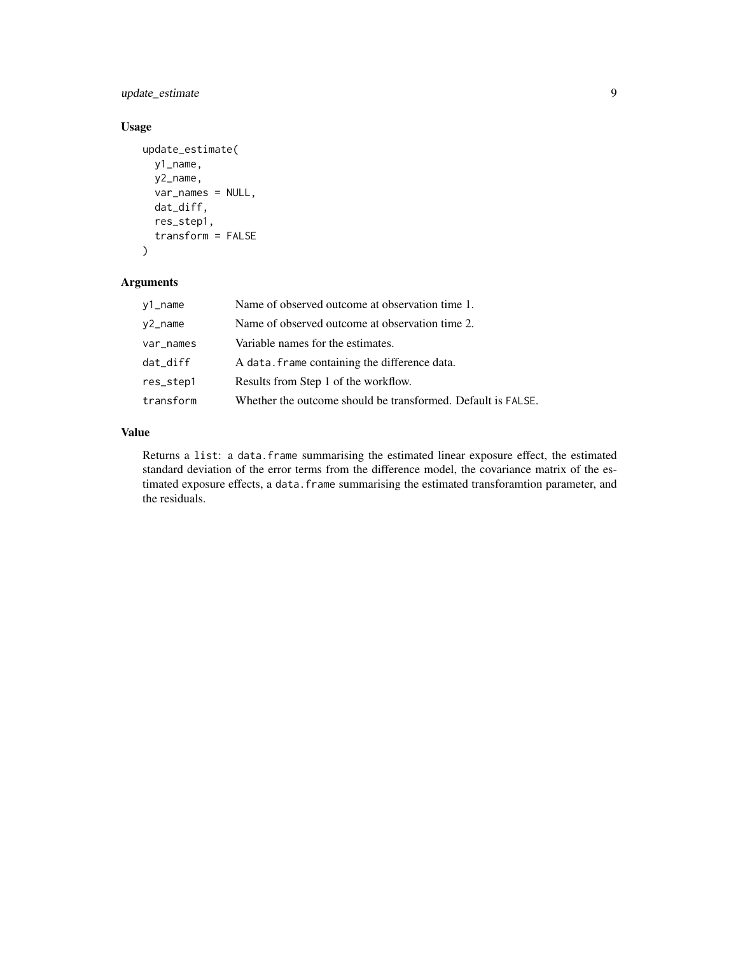update\_estimate 9

#### Usage

```
update_estimate(
 y1_name,
 y2_name,
 var_names = NULL,
  dat_diff,
  res_step1,
  transform = FALSE
)
```
#### Arguments

| y1_name    | Name of observed outcome at observation time 1.              |
|------------|--------------------------------------------------------------|
| $y2$ _name | Name of observed outcome at observation time 2.              |
| var_names  | Variable names for the estimates.                            |
| dat_diff   | A data. frame containing the difference data.                |
| res_step1  | Results from Step 1 of the workflow.                         |
| transform  | Whether the outcome should be transformed. Default is FALSE. |

#### Value

Returns a list: a data.frame summarising the estimated linear exposure effect, the estimated standard deviation of the error terms from the difference model, the covariance matrix of the estimated exposure effects, a data.frame summarising the estimated transforamtion parameter, and the residuals.